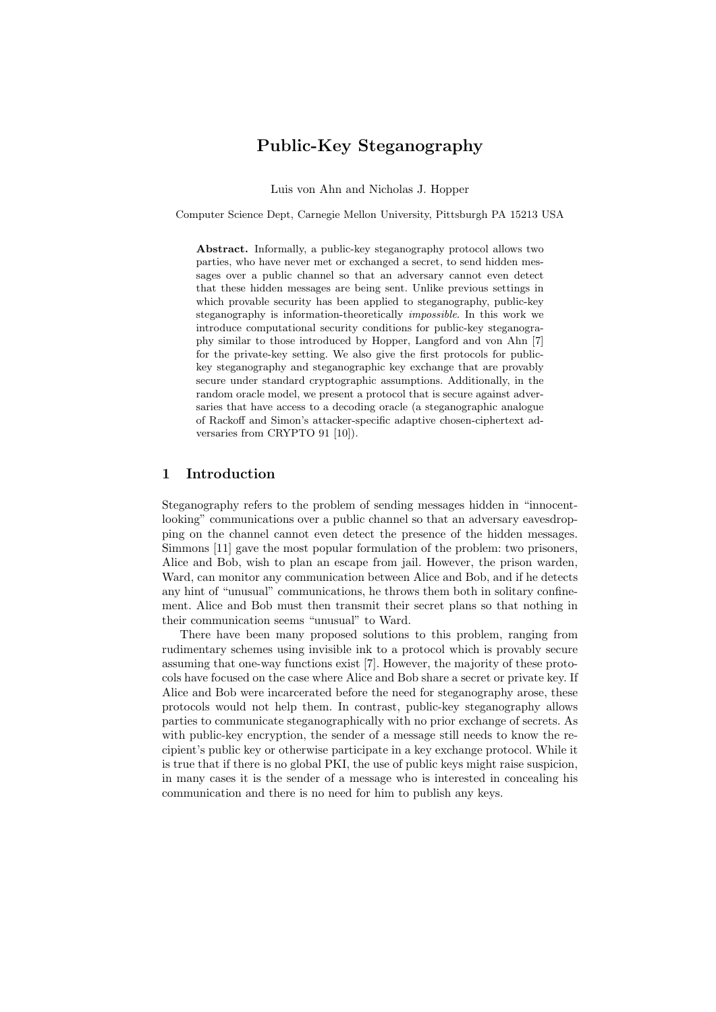# Public-Key Steganography

Luis von Ahn and Nicholas J. Hopper

Computer Science Dept, Carnegie Mellon University, Pittsburgh PA 15213 USA

Abstract. Informally, a public-key steganography protocol allows two parties, who have never met or exchanged a secret, to send hidden messages over a public channel so that an adversary cannot even detect that these hidden messages are being sent. Unlike previous settings in which provable security has been applied to steganography, public-key steganography is information-theoretically impossible. In this work we introduce computational security conditions for public-key steganography similar to those introduced by Hopper, Langford and von Ahn [7] for the private-key setting. We also give the first protocols for publickey steganography and steganographic key exchange that are provably secure under standard cryptographic assumptions. Additionally, in the random oracle model, we present a protocol that is secure against adversaries that have access to a decoding oracle (a steganographic analogue of Rackoff and Simon's attacker-specific adaptive chosen-ciphertext adversaries from CRYPTO 91 [10]).

### 1 Introduction

Steganography refers to the problem of sending messages hidden in "innocentlooking" communications over a public channel so that an adversary eavesdropping on the channel cannot even detect the presence of the hidden messages. Simmons [11] gave the most popular formulation of the problem: two prisoners, Alice and Bob, wish to plan an escape from jail. However, the prison warden, Ward, can monitor any communication between Alice and Bob, and if he detects any hint of "unusual" communications, he throws them both in solitary confinement. Alice and Bob must then transmit their secret plans so that nothing in their communication seems "unusual" to Ward.

There have been many proposed solutions to this problem, ranging from rudimentary schemes using invisible ink to a protocol which is provably secure assuming that one-way functions exist [7]. However, the majority of these protocols have focused on the case where Alice and Bob share a secret or private key. If Alice and Bob were incarcerated before the need for steganography arose, these protocols would not help them. In contrast, public-key steganography allows parties to communicate steganographically with no prior exchange of secrets. As with public-key encryption, the sender of a message still needs to know the recipient's public key or otherwise participate in a key exchange protocol. While it is true that if there is no global PKI, the use of public keys might raise suspicion, in many cases it is the sender of a message who is interested in concealing his communication and there is no need for him to publish any keys.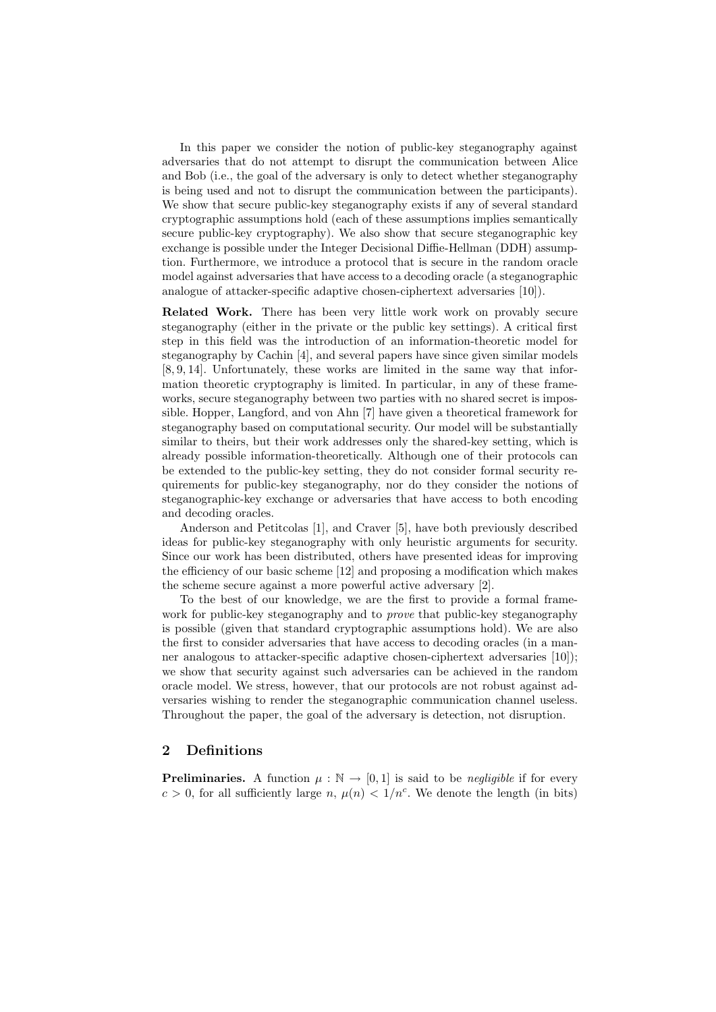In this paper we consider the notion of public-key steganography against adversaries that do not attempt to disrupt the communication between Alice and Bob (i.e., the goal of the adversary is only to detect whether steganography is being used and not to disrupt the communication between the participants). We show that secure public-key steganography exists if any of several standard cryptographic assumptions hold (each of these assumptions implies semantically secure public-key cryptography). We also show that secure steganographic key exchange is possible under the Integer Decisional Diffie-Hellman (DDH) assumption. Furthermore, we introduce a protocol that is secure in the random oracle model against adversaries that have access to a decoding oracle (a steganographic analogue of attacker-specific adaptive chosen-ciphertext adversaries [10]).

Related Work. There has been very little work work on provably secure steganography (either in the private or the public key settings). A critical first step in this field was the introduction of an information-theoretic model for steganography by Cachin [4], and several papers have since given similar models [8, 9, 14]. Unfortunately, these works are limited in the same way that information theoretic cryptography is limited. In particular, in any of these frameworks, secure steganography between two parties with no shared secret is impossible. Hopper, Langford, and von Ahn [7] have given a theoretical framework for steganography based on computational security. Our model will be substantially similar to theirs, but their work addresses only the shared-key setting, which is already possible information-theoretically. Although one of their protocols can be extended to the public-key setting, they do not consider formal security requirements for public-key steganography, nor do they consider the notions of steganographic-key exchange or adversaries that have access to both encoding and decoding oracles.

Anderson and Petitcolas [1], and Craver [5], have both previously described ideas for public-key steganography with only heuristic arguments for security. Since our work has been distributed, others have presented ideas for improving the efficiency of our basic scheme [12] and proposing a modification which makes the scheme secure against a more powerful active adversary [2].

To the best of our knowledge, we are the first to provide a formal framework for public-key steganography and to *prove* that public-key steganography is possible (given that standard cryptographic assumptions hold). We are also the first to consider adversaries that have access to decoding oracles (in a manner analogous to attacker-specific adaptive chosen-ciphertext adversaries [10]); we show that security against such adversaries can be achieved in the random oracle model. We stress, however, that our protocols are not robust against adversaries wishing to render the steganographic communication channel useless. Throughout the paper, the goal of the adversary is detection, not disruption.

### 2 Definitions

**Preliminaries.** A function  $\mu : \mathbb{N} \to [0,1]$  is said to be *negligible* if for every  $c > 0$ , for all sufficiently large n,  $\mu(n) < 1/n^c$ . We denote the length (in bits)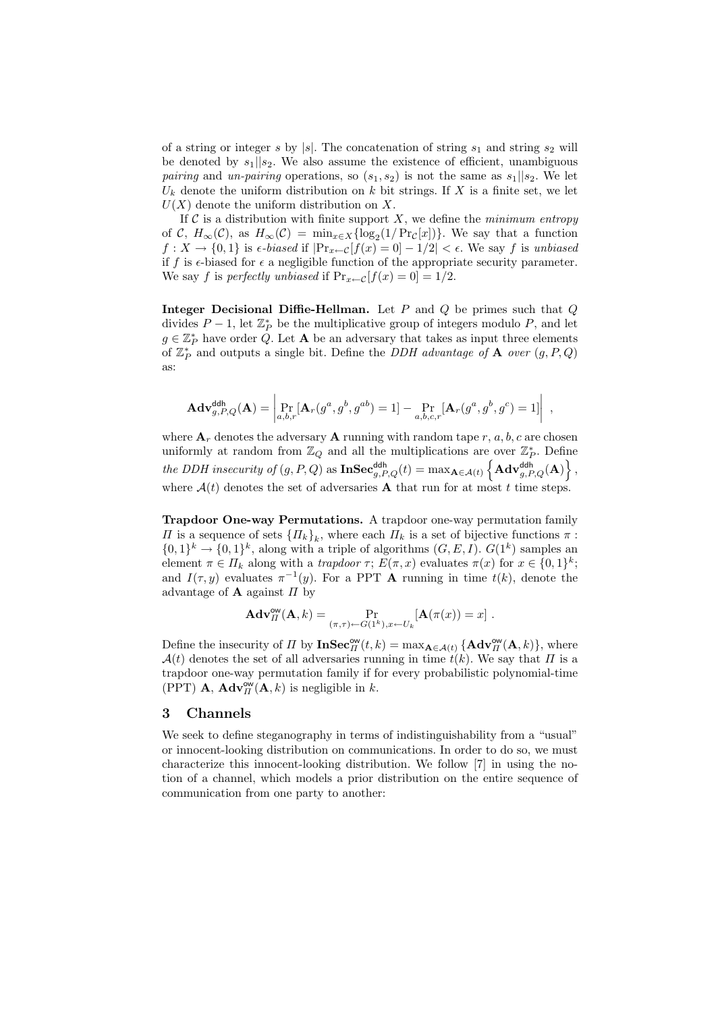of a string or integer s by |s|. The concatenation of string  $s_1$  and string  $s_2$  will be denoted by  $s_1||s_2$ . We also assume the existence of efficient, unambiguous *pairing* and un-pairing operations, so  $(s_1, s_2)$  is not the same as  $s_1||s_2$ . We let  $U_k$  denote the uniform distribution on k bit strings. If X is a finite set, we let  $U(X)$  denote the uniform distribution on X.

If  $\mathcal C$  is a distribution with finite support X, we define the *minimum entropy* of C,  $H_{\infty}(\mathcal{C})$ , as  $H_{\infty}(\mathcal{C}) = \min_{x \in X} {\log_2(1/\Pr_{\mathcal{C}}[x])}$ . We say that a function  $f: X \to \{0,1\}$  is  $\epsilon$ -biased if  $|\Pr_{x \leftarrow C}[f(x) = 0] - 1/2| < \epsilon$ . We say f is unbiased if f is  $\epsilon$ -biased for  $\epsilon$  a negligible function of the appropriate security parameter. We say f is perfectly unbiased if  $Pr_{x \leftarrow C}[f(x) = 0] = 1/2$ .

Integer Decisional Diffie-Hellman. Let  $P$  and  $Q$  be primes such that  $Q$ divides  $P-1$ , let  $\mathbb{Z}_P^*$  be the multiplicative group of integers modulo P, and let  $g \in \mathbb{Z}_P^*$  have order  $\dot{Q}$ . Let **A** be an adversary that takes as input three elements of  $\mathbb{Z}_P^*$  and outputs a single bit. Define the *DDH advantage of* **A** over  $(g, P, Q)$ as:

$$
\mathbf{Adv}_{g,P,Q}^{\mathsf{ddh}}(\mathbf{A}) = \begin{vmatrix} P_{r} \left[ \mathbf{A}_{r}(g^{a}, g^{b}, g^{ab}) = 1 \right] - P_{a,b,c,r} \left[ \mathbf{A}_{r}(g^{a}, g^{b}, g^{c}) = 1 \right] \end{vmatrix},
$$

where  $A_r$  denotes the adversary **A** running with random tape r, a, b, c are chosen uniformly at random from  $\mathbb{Z}_Q$  and all the multiplications are over  $\mathbb{Z}_P^*$ . Define the DDH insecurity of  $(g, P, Q)$  as  $\mathbf{InSec}_{g,P,Q}^{\mathsf{ddh}}(t) = \max_{\mathbf{A}\in\mathcal{A}(t)} \left\{ \mathbf{Adv}_{g,P,Q}^{\mathsf{ddh}}(\mathbf{A}) \right\},$ where  $A(t)$  denotes the set of adversaries **A** that run for at most t time steps.

Trapdoor One-way Permutations. A trapdoor one-way permutation family  $\Pi$  is a sequence of sets  $\{\Pi_k\}_k$ , where each  $\Pi_k$  is a set of bijective functions π:  $\{0,1\}^k \to \{0,1\}^k$ , along with a triple of algorithms  $(G, E, I)$ .  $G(1^k)$  samples an element  $\pi \in \Pi_k$  along with a *trapdoor*  $\tau$ ;  $E(\pi, x)$  evaluates  $\pi(x)$  for  $x \in \{0, 1\}^k$ ; and  $I(\tau, y)$  evaluates  $\pi^{-1}(y)$ . For a PPT **A** running in time  $t(k)$ , denote the advantage of **A** against  $\Pi$  by

$$
\mathbf{Adv}_{\Pi}^{\mathsf{ow}}(\mathbf{A},k) = \Pr_{(\pi,\tau) \leftarrow G(1^k), x \leftarrow U_k} [\mathbf{A}(\pi(x)) = x] .
$$

Define the insecurity of  $\Pi$  by  $\mathbf{InSec}_\Pi^{\mathsf{ow}}(t,k) = \max_{\mathbf{A}\in\mathcal{A}(t)} {\mathbf{A}\mathbf{dv}_\Pi^{\mathsf{ow}}(\mathbf{A},k)}$ , where  $\mathcal{A}(t)$  denotes the set of all adversaries running in time  $t(k)$ . We say that  $\Pi$  is a trapdoor one-way permutation family if for every probabilistic polynomial-time (PPT) **A**,  $\mathbf{Adv}_{\Pi}^{\mathsf{ow}}(\mathbf{A}, k)$  is negligible in k.

### 3 Channels

We seek to define steganography in terms of indistinguishability from a "usual" or innocent-looking distribution on communications. In order to do so, we must characterize this innocent-looking distribution. We follow [7] in using the notion of a channel, which models a prior distribution on the entire sequence of communication from one party to another: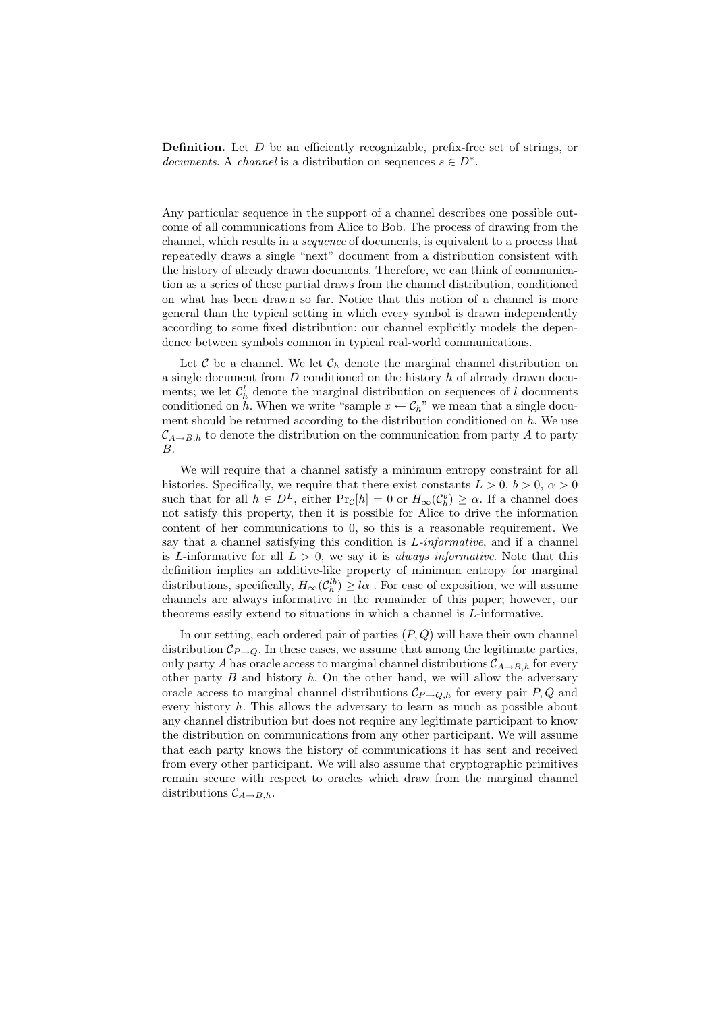**Definition.** Let  $D$  be an efficiently recognizable, prefix-free set of strings, or documents. A channel is a distribution on sequences  $s \in D^*$ .

Any particular sequence in the support of a channel describes one possible outcome of all communications from Alice to Bob. The process of drawing from the channel, which results in a sequence of documents, is equivalent to a process that repeatedly draws a single "next" document from a distribution consistent with the history of already drawn documents. Therefore, we can think of communication as a series of these partial draws from the channel distribution, conditioned on what has been drawn so far. Notice that this notion of a channel is more general than the typical setting in which every symbol is drawn independently according to some fixed distribution: our channel explicitly models the dependence between symbols common in typical real-world communications.

Let  $\mathcal C$  be a channel. We let  $\mathcal C_h$  denote the marginal channel distribution on a single document from D conditioned on the history h of already drawn documents; we let  $\mathcal{C}_h^l$  denote the marginal distribution on sequences of l documents conditioned on h. When we write "sample  $x \leftarrow C_h$ " we mean that a single document should be returned according to the distribution conditioned on  $h$ . We use  $\mathcal{C}_{A\rightarrow B,h}$  to denote the distribution on the communication from party A to party B.

We will require that a channel satisfy a minimum entropy constraint for all histories. Specifically, we require that there exist constants  $L > 0, b > 0, \alpha > 0$ such that for all  $h \in D^L$ , either  $Pr_{\mathcal{C}}[h] = 0$  or  $H_{\infty}(\mathcal{C}_h^b) \geq \alpha$ . If a channel does not satisfy this property, then it is possible for Alice to drive the information content of her communications to 0, so this is a reasonable requirement. We say that a channel satisfying this condition is  $L$ -informative, and if a channel is L-informative for all  $L > 0$ , we say it is *always informative*. Note that this definition implies an additive-like property of minimum entropy for marginal distributions, specifically,  $H_{\infty}(\mathcal{C}_{h}^{lb}) \geq l\alpha$ . For ease of exposition, we will assume channels are always informative in the remainder of this paper; however, our theorems easily extend to situations in which a channel is L-informative.

In our setting, each ordered pair of parties  $(P, Q)$  will have their own channel distribution  $\mathcal{C}_{P\rightarrow Q}$ . In these cases, we assume that among the legitimate parties, only party A has oracle access to marginal channel distributions  $\mathcal{C}_{A\rightarrow B,h}$  for every other party  $B$  and history  $h$ . On the other hand, we will allow the adversary oracle access to marginal channel distributions  $\mathcal{C}_{P\rightarrow Q,h}$  for every pair P, Q and every history h. This allows the adversary to learn as much as possible about any channel distribution but does not require any legitimate participant to know the distribution on communications from any other participant. We will assume that each party knows the history of communications it has sent and received from every other participant. We will also assume that cryptographic primitives remain secure with respect to oracles which draw from the marginal channel distributions  $\mathcal{C}_{A\rightarrow B,h}$ .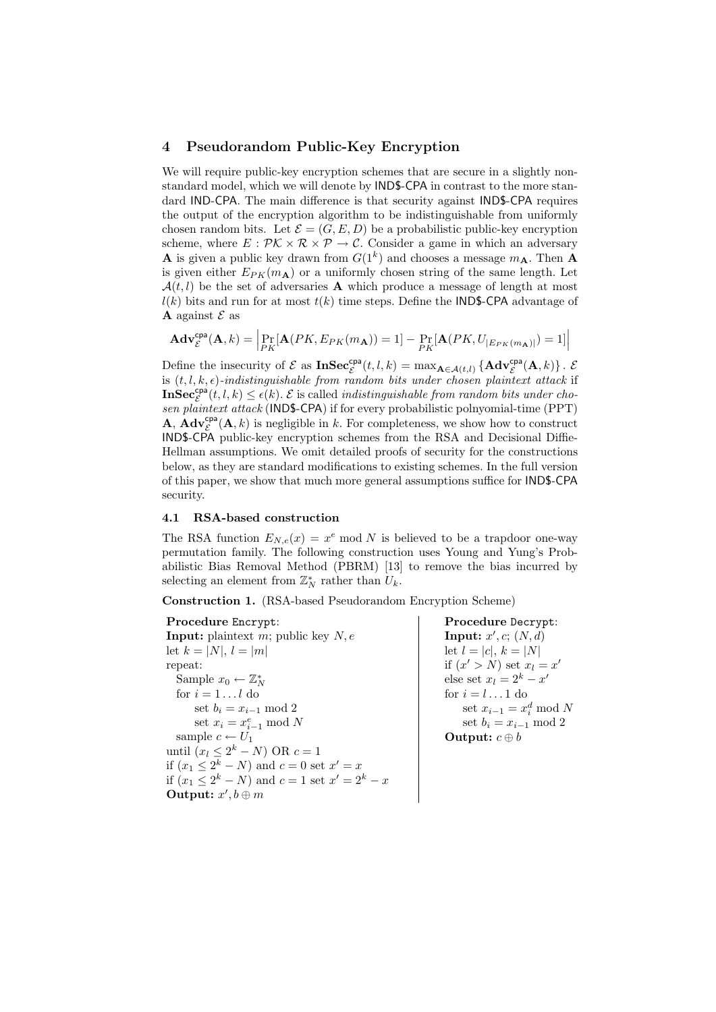### 4 Pseudorandom Public-Key Encryption

We will require public-key encryption schemes that are secure in a slightly nonstandard model, which we will denote by IND\$-CPA in contrast to the more standard IND-CPA. The main difference is that security against IND\$-CPA requires the output of the encryption algorithm to be indistinguishable from uniformly chosen random bits. Let  $\mathcal{E} = (G, E, D)$  be a probabilistic public-key encryption scheme, where  $E: \mathcal{PK} \times \mathcal{R} \times \mathcal{P} \to \mathcal{C}$ . Consider a game in which an adversary **A** is given a public key drawn from  $G(1^k)$  and chooses a message  $m_A$ . Then **A** is given either  $E_{PK}(m_A)$  or a uniformly chosen string of the same length. Let  $\mathcal{A}(t, l)$  be the set of adversaries **A** which produce a message of length at most  $l(k)$  bits and run for at most  $t(k)$  time steps. Define the **IND\$-CPA** advantage of **A** against  $\mathcal{E}$  as

$$
\mathbf{Adv}_{\mathcal{E}}^{\mathsf{cpa}}(\mathbf{A},k) = \left| \Pr_{PK}[\mathbf{A}(PK, E_{PK}(m_{\mathbf{A}})) = 1] - \Pr_{PK}[\mathbf{A}(PK, U_{|E_{PK}(m_{\mathbf{A}})|}) = 1] \right|
$$

Define the insecurity of  $\mathcal E$  as  $\text{InSec}_{\mathcal E}^{\text{cpa}}(t,l,k) = \max_{\mathbf{A}\in\mathcal{A}(t,l)} \{ \text{Adv}_{\mathcal E}^{\text{cpa}}(\mathbf{A},k) \}$ . is  $(t, l, k, \epsilon)$ -indistinguishable from random bits under chosen plaintext attack if  $\mathbf{InSec}^{\mathsf{cpa}}_{\mathcal{E}}(t,l,k) \leq \epsilon(k)$ .  $\mathcal E$  is called *indistinguishable from random bits under cho*sen plaintext attack (IND\$-CPA) if for every probabilistic polnyomial-time (PPT) **A**,  $\mathbf{Adv}_{\mathcal{E}}^{\mathsf{cpa}}(\mathbf{A}, k)$  is negligible in k. For completeness, we show how to construct IND\$-CPA public-key encryption schemes from the RSA and Decisional Diffie-Hellman assumptions. We omit detailed proofs of security for the constructions below, as they are standard modifications to existing schemes. In the full version of this paper, we show that much more general assumptions suffice for IND\$-CPA security.

### 4.1 RSA-based construction

The RSA function  $E_{N,e}(x) = x^e \mod N$  is believed to be a trapdoor one-way permutation family. The following construction uses Young and Yung's Probabilistic Bias Removal Method (PBRM) [13] to remove the bias incurred by selecting an element from  $\mathbb{Z}_N^*$  rather than  $U_k$ .

Construction 1. (RSA-based Pseudorandom Encryption Scheme)

Procedure Encrypt: **Input:** plaintext m; public key  $N, e$ let  $k = |N|, l = |m|$ repeat: Sample  $x_0 \leftarrow \mathbb{Z}_N^*$ for  $i = 1 \dots l$  do set  $b_i = x_{i-1} \mod 2$ set  $x_i = x_{i-1}^e \bmod N$ sample  $c \leftarrow U_1$ until  $(x_l \leq 2^k - N)$  OR  $c = 1$ if  $(x_1 \leq 2^k - N)$  and  $c = 0$  set  $x' = x$ if  $(x_1 \leq 2^k - N)$  and  $c = 1$  set  $x' = 2^k - x$ Output:  $x', b \oplus m$ 

Procedure Decrypt: Input:  $x', c; (N, d)$ let  $l = |c|, k = |N|$ if  $(x' > N)$  set  $x_l = x'$ else set  $x_l = 2^k - x'$ for  $i = l \dots 1$  do set  $x_{i-1} = x_i^d \mod N$ set  $b_i = x_{i-1} \mod 2$ **Output:**  $c \oplus b$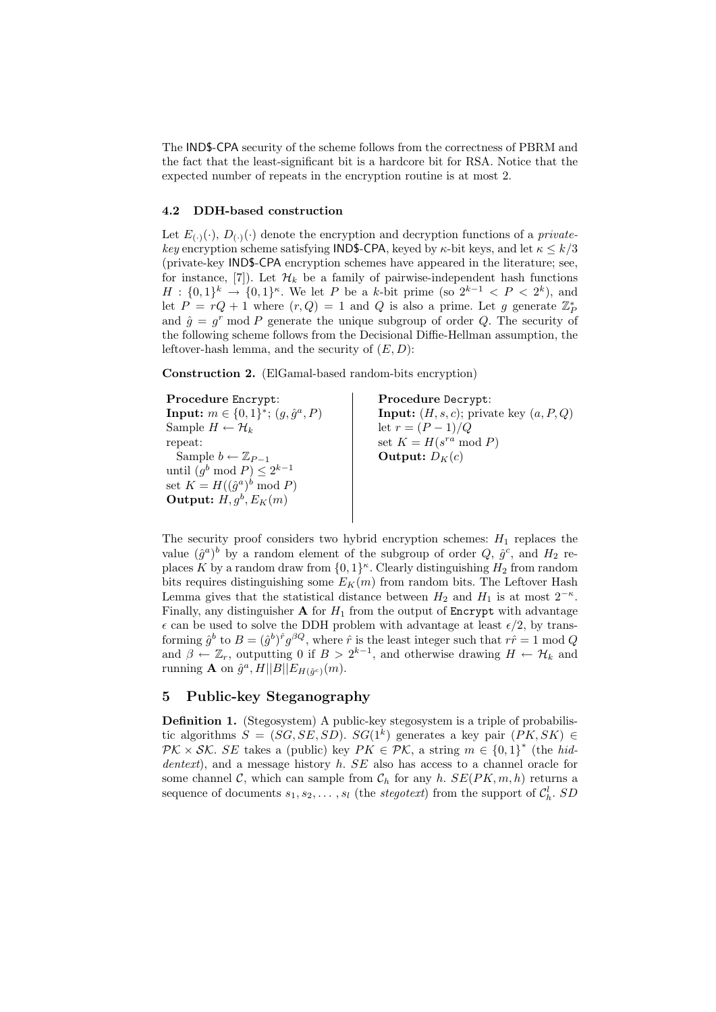The IND\$-CPA security of the scheme follows from the correctness of PBRM and the fact that the least-significant bit is a hardcore bit for RSA. Notice that the expected number of repeats in the encryption routine is at most 2.

#### 4.2 DDH-based construction

Let  $E_{(\cdot)}(\cdot)$ ,  $D_{(\cdot)}(\cdot)$  denote the encryption and decryption functions of a *private*key encryption scheme satisfying IND\$-CPA, keyed by  $\kappa$ -bit keys, and let  $\kappa \leq k/3$ (private-key IND\$-CPA encryption schemes have appeared in the literature; see, for instance, [7]). Let  $\mathcal{H}_k$  be a family of pairwise-independent hash functions  $H: \{0,1\}^k \to \{0,1\}^k$ . We let P be a k-bit prime (so  $2^{k-1} < P < 2^k$ ), and let  $P = rQ + 1$  where  $(r, Q) = 1$  and Q is also a prime. Let g generate  $\mathbb{Z}_{P}^{*}$ and  $\hat{g} = g^r \mod P$  generate the unique subgroup of order Q. The security of the following scheme follows from the Decisional Diffie-Hellman assumption, the leftover-hash lemma, and the security of  $(E, D)$ :

Construction 2. (ElGamal-based random-bits encryption)

Procedure Encrypt: Input:  $m \in \{0, 1\}^*$ ;  $(g, \hat{g}^a, P)$ Sample  $H \leftarrow \mathcal{H}_k$ repeat: Sample  $b \leftarrow \mathbb{Z}_{P-1}$ until  $(g^b \mod P) \leq 2^{k-1}$ set  $K = H((\hat{g}^a)^b \mod P)$ Output:  $H, g^b, E_K(m)$ Procedure Decrypt: **Input:**  $(H, s, c)$ ; private key  $(a, P, Q)$ let  $r = (P - 1)/Q$ set  $K = H(s^{ra} \mod P)$ Output:  $D_K(c)$ 

The security proof considers two hybrid encryption schemes:  $H_1$  replaces the value  $(\hat{g}^a)^b$  by a random element of the subgroup of order  $Q, \hat{g}^c$ , and  $H_2$  replaces K by a random draw from  $\{0,1\}^{\kappa}$ . Clearly distinguishing  $H_2$  from random bits requires distinguishing some  $E_K(m)$  from random bits. The Leftover Hash Lemma gives that the statistical distance between  $H_2$  and  $H_1$  is at most  $2^{-\kappa}$ . Finally, any distinguisher  $A$  for  $H_1$  from the output of Encrypt with advantage  $\epsilon$  can be used to solve the DDH problem with advantage at least  $\epsilon/2$ , by transforming  $\hat{g}^b$  to  $B = (\hat{g}^b)^{\hat{r}} g^{\beta Q}$ , where  $\hat{r}$  is the least integer such that  $r\hat{r} = 1 \text{ mod } Q$ and  $\beta \leftarrow \mathbb{Z}_r$ , outputting 0 if  $B > 2^{k-1}$ , and otherwise drawing  $H \leftarrow \mathcal{H}_k$  and running **A** on  $\hat{g}^a$ ,  $H||B||E_{H(\hat{g}^c)}(m)$ .

# 5 Public-key Steganography

Definition 1. (Stegosystem) A public-key stegosystem is a triple of probabilistic algorithms  $S = (SG, SE, SD)$ .  $SG(1<sup>k</sup>)$  generates a key pair  $(PK, SK)$  $PK \times SK$ . SE takes a (public) key  $PK \in \mathcal{PK}$ , a string  $m \in \{0,1\}^*$  (the hiddentext), and a message history h. SE also has access to a channel oracle for some channel C, which can sample from  $\mathcal{C}_h$  for any h.  $SE(PK, m, h)$  returns a sequence of documents  $s_1, s_2, \ldots, s_l$  (the *stegotext*) from the support of  $C_h^l$ . SD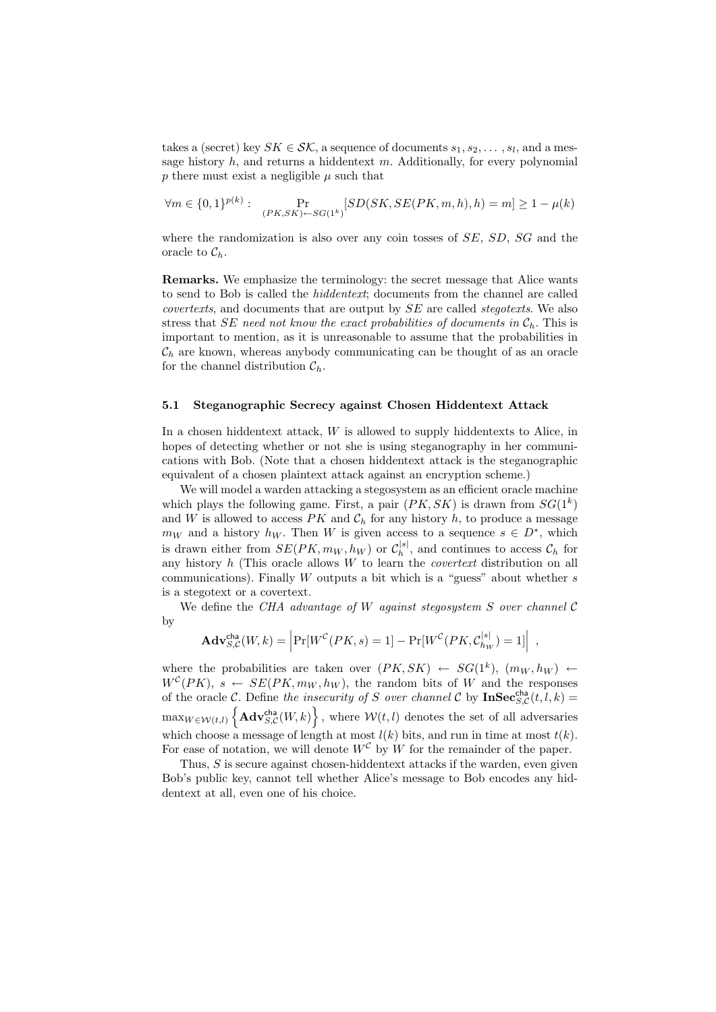takes a (secret) key  $SK \in \mathcal{SK}$ , a sequence of documents  $s_1, s_2, \ldots, s_l$ , and a message history  $h$ , and returns a hiddentext  $m$ . Additionally, for every polynomial  $p$  there must exist a negligible  $\mu$  such that

$$
\forall m \in \{0, 1\}^{p(k)}: \quad \Pr_{(PK, SK) \leftarrow SG(1^k)}[SD(SK, SE(PK, m, h), h) = m] \ge 1 - \mu(k)
$$

where the randomization is also over any coin tosses of SE, SD, SG and the oracle to  $\mathcal{C}_h$ .

Remarks. We emphasize the terminology: the secret message that Alice wants to send to Bob is called the hiddentext; documents from the channel are called covertexts, and documents that are output by SE are called stegotexts. We also stress that SE need not know the exact probabilities of documents in  $C<sub>b</sub>$ . This is important to mention, as it is unreasonable to assume that the probabilities in  $\mathcal{C}_h$  are known, whereas anybody communicating can be thought of as an oracle for the channel distribution  $\mathcal{C}_h$ .

### 5.1 Steganographic Secrecy against Chosen Hiddentext Attack

In a chosen hiddentext attack,  $W$  is allowed to supply hiddentexts to Alice, in hopes of detecting whether or not she is using steganography in her communications with Bob. (Note that a chosen hiddentext attack is the steganographic equivalent of a chosen plaintext attack against an encryption scheme.)

We will model a warden attacking a stegosystem as an efficient oracle machine which plays the following game. First, a pair  $(PK, SK)$  is drawn from  $SG(1^k)$ and W is allowed to access  $PK$  and  $C_h$  for any history h, to produce a message  $m_W$  and a history  $h_W$ . Then W is given access to a sequence  $s \in D^*$ , which is drawn either from  $SE(PK, m_W, h_W)$  or  $\mathcal{C}_h^{[s]}$  $\mathcal{C}_h^{|\mathcal{S}|}$ , and continues to access  $\mathcal{C}_h$  for any history  $h$  (This oracle allows  $W$  to learn the *covertext* distribution on all communications). Finally  $W$  outputs a bit which is a "guess" about whether  $s$ is a stegotext or a covertext.

We define the CHA advantage of W against stegosystem  $S$  over channel  $C$ by

$$
\mathbf{Adv}_{S,C}^{\mathsf{cha}}(W,k) = \left| \Pr[W^C(PK, s) = 1] - \Pr[W^C(PK, C_{h_W}^{|s|}) = 1] \right| ,
$$

where the probabilities are taken over  $(PK, SK) \leftarrow SG(1^k), (m_W, h_W) \leftarrow$  $W^{c}(PK)$ ,  $s \leftarrow SE(PK, m_W, h_W)$ , the random bits of W and the responses of the oracle C. Define the insecurity of S over channel C by  $\textbf{InSec}_{S,\mathcal{C}}^{\text{cha}}(t, l, k)$  $\max_{W \in \mathcal{W}(t,l)} \left\{ \mathbf{Adv}_{S,\mathcal{C}}^{\mathsf{cha}}(W,k) \right\},\$  where  $\mathcal{W}(t,l)$  denotes the set of all adversaries which choose a message of length at most  $l(k)$  bits, and run in time at most  $t(k)$ . For ease of notation, we will denote  $W^{\mathcal{C}}$  by W for the remainder of the paper.

Thus, S is secure against chosen-hiddentext attacks if the warden, even given Bob's public key, cannot tell whether Alice's message to Bob encodes any hiddentext at all, even one of his choice.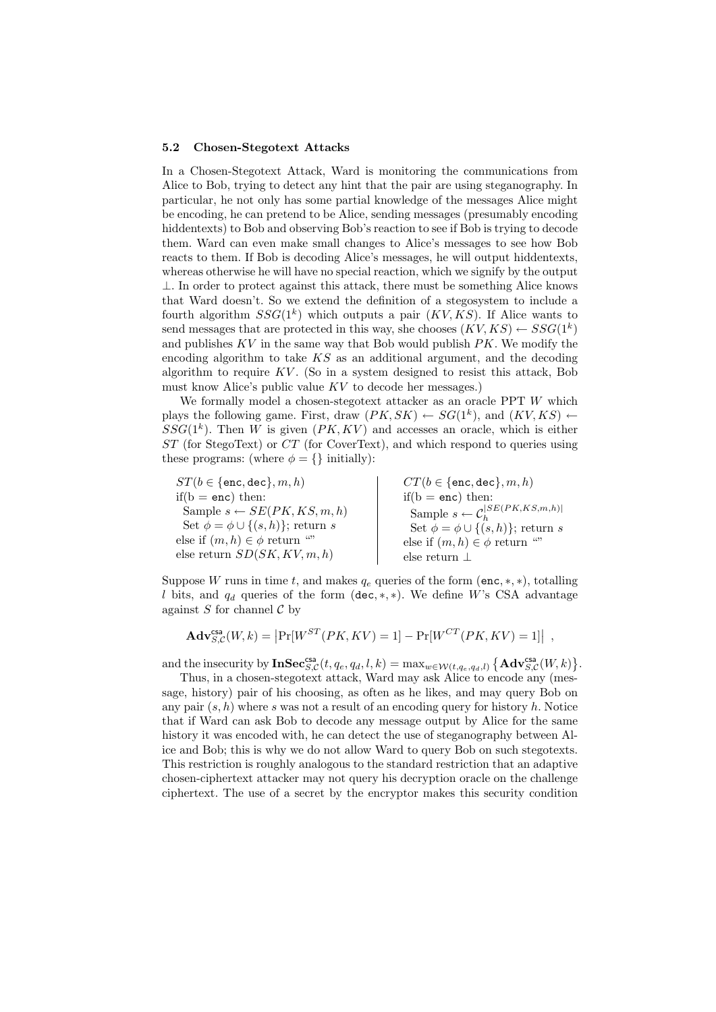#### 5.2 Chosen-Stegotext Attacks

In a Chosen-Stegotext Attack, Ward is monitoring the communications from Alice to Bob, trying to detect any hint that the pair are using steganography. In particular, he not only has some partial knowledge of the messages Alice might be encoding, he can pretend to be Alice, sending messages (presumably encoding hiddentexts) to Bob and observing Bob's reaction to see if Bob is trying to decode them. Ward can even make small changes to Alice's messages to see how Bob reacts to them. If Bob is decoding Alice's messages, he will output hiddentexts, whereas otherwise he will have no special reaction, which we signify by the output  $\perp$ . In order to protect against this attack, there must be something Alice knows that Ward doesn't. So we extend the definition of a stegosystem to include a fourth algorithm  $SSG(1^k)$  which outputs a pair  $(KV, KS)$ . If Alice wants to send messages that are protected in this way, she chooses  $(KV, KS) \leftarrow SSG(1^k)$ and publishes  $KV$  in the same way that Bob would publish  $PK$ . We modify the encoding algorithm to take  $KS$  as an additional argument, and the decoding algorithm to require  $KV$ . (So in a system designed to resist this attack, Bob must know Alice's public value KV to decode her messages.)

We formally model a chosen-stegotext attacker as an oracle PPT W which plays the following game. First, draw  $(PK, SK) \leftarrow SG(1^k)$ , and  $(KV, KS)$   $\leftarrow$  $SSG(1<sup>k</sup>)$ . Then W is given  $(PK, KV)$  and accesses an oracle, which is either  $ST$  (for StegoText) or  $CT$  (for CoverText), and which respond to queries using these programs: (where  $\phi = \{\}\$ initially):

 $ST(b \in \{\texttt{enc}, \texttt{dec}\}, m, h)$ if( $b = enc$ ) then: Sample  $s \leftarrow SE(PK, KS, m, h)$ Set  $\phi = \phi \cup \{(s, h)\}\;$ return s else if  $(m, h) \in \phi$  return "" else return  $SD(SK, KV, m, h)$  $CT(b \in \{\texttt{enc}, \texttt{dec}\}, m, h)$  $if(b = enc) then:$ Sample  $s \leftarrow \mathcal{C}_h^{|SE(PK, KS, m, h)|}$ <br>Set  $\phi = \phi \cup \{(s, h)\}$ ; return s else if  $(m, h) \in \phi$  return "" else return ⊥

Suppose W runs in time t, and makes  $q_e$  queries of the form (enc, \*, \*), totalling l bits, and  $q_d$  queries of the form (dec, \*, \*). We define W's CSA advantage against  $S$  for channel  $\mathcal C$  by

$$
\mathbf{Adv}_{S,C}^{\mathbf{cas}}(W,k) = \left| \Pr[W^{ST}(PK,KV) = 1] - \Pr[W^{CT}(PK,KV) = 1] \right|,
$$

and the insecurity by  $\mathbf{InSec}_{S,\mathcal{C}}^{\mathsf{csa}}(t, q_e, q_d, l, k) = \max_{w \in \mathcal{W}(t, q_e, q_d, l)} \left\{ \mathbf{Adv}_{S,\mathcal{C}}^{\mathsf{csa}}(W, k) \right\}$ .

Thus, in a chosen-stegotext attack, Ward may ask Alice to encode any (message, history) pair of his choosing, as often as he likes, and may query Bob on any pair  $(s, h)$  where s was not a result of an encoding query for history h. Notice that if Ward can ask Bob to decode any message output by Alice for the same history it was encoded with, he can detect the use of steganography between Alice and Bob; this is why we do not allow Ward to query Bob on such stegotexts. This restriction is roughly analogous to the standard restriction that an adaptive chosen-ciphertext attacker may not query his decryption oracle on the challenge ciphertext. The use of a secret by the encryptor makes this security condition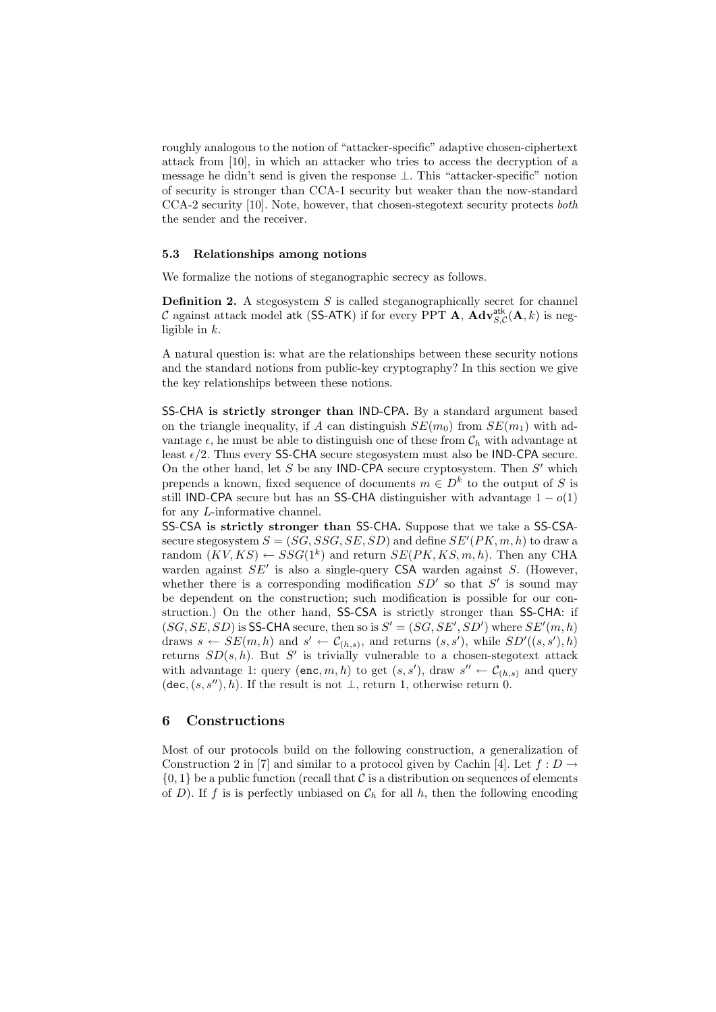roughly analogous to the notion of "attacker-specific" adaptive chosen-ciphertext attack from [10], in which an attacker who tries to access the decryption of a message he didn't send is given the response ⊥. This "attacker-specific" notion of security is stronger than CCA-1 security but weaker than the now-standard CCA-2 security [10]. Note, however, that chosen-stegotext security protects both the sender and the receiver.

#### 5.3 Relationships among notions

We formalize the notions of steganographic secrecy as follows.

**Definition 2.** A stegosystem  $S$  is called steganographically secret for channel C against attack model atk (SS-ATK) if for every PPT  $\bf{A}$ ,  $\bf{Adv}_{S,C}^{atk}(A, k)$  is negligible in  $k$ .

A natural question is: what are the relationships between these security notions and the standard notions from public-key cryptography? In this section we give the key relationships between these notions.

SS-CHA is strictly stronger than IND-CPA. By a standard argument based on the triangle inequality, if A can distinguish  $SE(m_0)$  from  $SE(m_1)$  with advantage  $\epsilon$ , he must be able to distinguish one of these from  $\mathcal{C}_h$  with advantage at least  $\epsilon/2$ . Thus every SS-CHA secure stegosystem must also be IND-CPA secure. On the other hand, let S be any IND-CPA secure cryptosystem. Then S' which prepends a known, fixed sequence of documents  $m \in D^k$  to the output of S is still IND-CPA secure but has an SS-CHA distinguisher with advantage  $1 - o(1)$ for any L-informative channel.

SS-CSA is strictly stronger than SS-CHA. Suppose that we take a SS-CSAsecure stegosystem  $S = (SG, SSG, SE, SD)$  and define  $SE'(PK, m, h)$  to draw a random  $(KV, KS) \leftarrow SSG(1^k)$  and return  $SE(PK, KS, m, h)$ . Then any CHA warden against  $SE'$  is also a single-query CSA warden against S. (However, whether there is a corresponding modification  $SD'$  so that  $S'$  is sound may be dependent on the construction; such modification is possible for our construction.) On the other hand, SS-CSA is strictly stronger than SS-CHA: if  $(SG, SE, SD)$  is SS-CHA secure, then so is  $S' = (SG, SE', SD')$  where  $SE'(m, h)$ draws  $s \leftarrow SE(m, h)$  and  $s' \leftarrow C_{(h,s)}$ , and returns  $(s, s')$ , while  $SD'((s, s'), h)$ returns  $SD(s, h)$ . But S' is trivially vulnerable to a chosen-stegotext attack with advantage 1: query  $(\texttt{enc}, m, h)$  to get  $(s, s')$ , draw  $s'' \leftarrow \mathcal{C}_{(h,s)}$  and query (dec,  $(s, s'')$ , h). If the result is not  $\perp$ , return 1, otherwise return 0.

### 6 Constructions

Most of our protocols build on the following construction, a generalization of Construction 2 in [7] and similar to a protocol given by Cachin [4]. Let  $f: D \to$  $\{0, 1\}$  be a public function (recall that C is a distribution on sequences of elements of D). If f is is perfectly unbiased on  $\mathcal{C}_h$  for all h, then the following encoding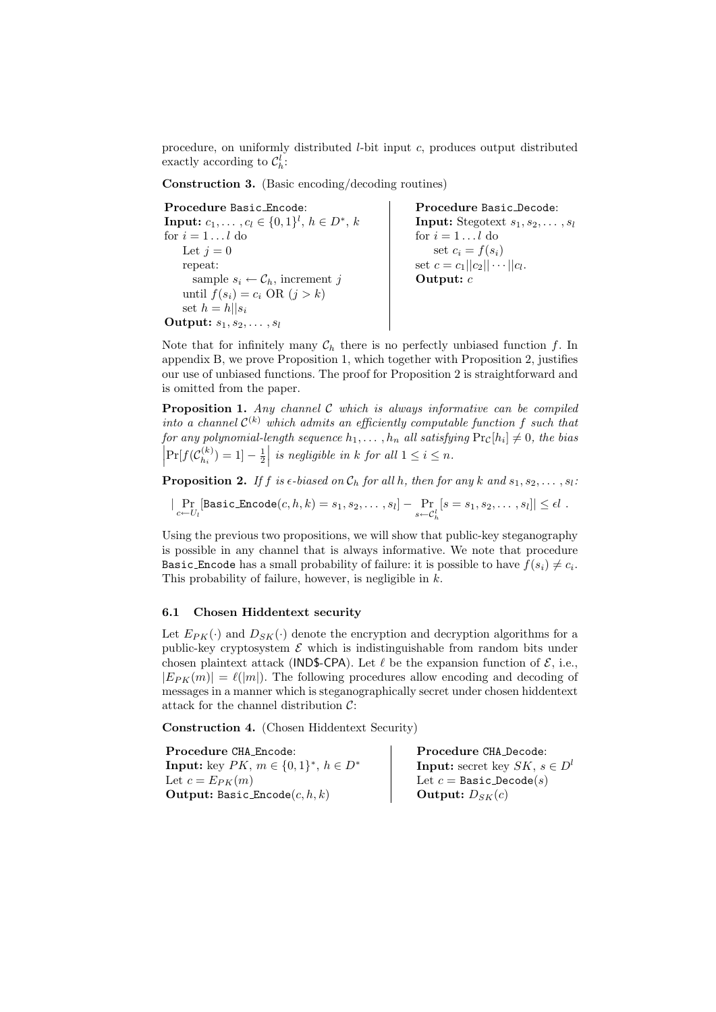procedure, on uniformly distributed  $l$ -bit input  $c$ , produces output distributed exactly according to  $\mathcal{C}_h^l$ :

Construction 3. (Basic encoding/decoding routines)

Procedure Basic Encode: **Input:**  $c_1, \ldots, c_l \in \{0, 1\}^l, h \in D^*, k$ for  $i = 1 \dots l$  do Let  $j = 0$ repeat: sample  $s_i \leftarrow \mathcal{C}_h$ , increment j until  $f(s_i) = c_i \text{ OR } (j > k)$ set  $h = h||s_i$ Output:  $s_1, s_2, \ldots, s_l$ 

Procedure Basic Decode: **Input:** Stegotext  $s_1, s_2, \ldots, s_l$ for  $i = 1...l$  do set  $c_i = f(s_i)$ set  $c = c_1 ||c_2|| \cdots ||c_l$ . Output:  $c$ 

Note that for infinitely many  $C_h$  there is no perfectly unbiased function f. In appendix B, we prove Proposition 1, which together with Proposition 2, justifies our use of unbiased functions. The proof for Proposition 2 is straightforward and is omitted from the paper.

**Proposition 1.** Any channel  $C$  which is always informative can be compiled into a channel  $\mathcal{C}^{(k)}$  which admits an efficiently computable function f such that for any polynomial-length sequence  $h_1, \ldots, h_n$  all satisfying  $\Pr_{\mathcal{C}}[h_i] \neq 0$ , the bias  $\left|\Pr[f(\mathcal{C}_{h_i}^{(k)})]\right|$  $h_h^{(k)}(n) = 1 - \frac{1}{2}$  is negligible in k for all  $1 \leq i \leq n$ .

**Proposition 2.** If f is  $\epsilon$ -biased on  $\mathcal{C}_h$  for all h, then for any k and  $s_1, s_2, \ldots, s_l$ :

 $\Pr_{c \leftarrow U_l}[\texttt{BasicEncode}(c, h, k) = s_1, s_2, \dots, s_l] - \Pr_{s \leftarrow C_h^l}$  $[s = s_1, s_2, \ldots, s_l]| \leq \epsilon l$ .

Using the previous two propositions, we will show that public-key steganography is possible in any channel that is always informative. We note that procedure Basic Encode has a small probability of failure: it is possible to have  $\overline{f}(s_i) \neq c_i$ . This probability of failure, however, is negligible in  $k$ .

### 6.1 Chosen Hiddentext security

Let  $E_{PK}(\cdot)$  and  $D_{SK}(\cdot)$  denote the encryption and decryption algorithms for a public-key cryptosystem  $\mathcal E$  which is indistinguishable from random bits under chosen plaintext attack (IND\$-CPA). Let  $\ell$  be the expansion function of  $\mathcal{E}$ , i.e.,  $|E_{PK}(m)| = \ell(|m|)$ . The following procedures allow encoding and decoding of messages in a manner which is steganographically secret under chosen hiddentext attack for the channel distribution  $C$ :

Construction 4. (Chosen Hiddentext Security)

Procedure CHA Encode: **Input:** key  $PK, m \in \{0, 1\}^*, h \in D^*$ Let  $c = E_{PK}(m)$ Output: Basic Encode $(c, h, k)$ Procedure CHA Decode: **Input:** secret key  $SK, s \in D^l$ Let  $c =$  Basic Decode $(s)$ Output:  $D_{SK}(c)$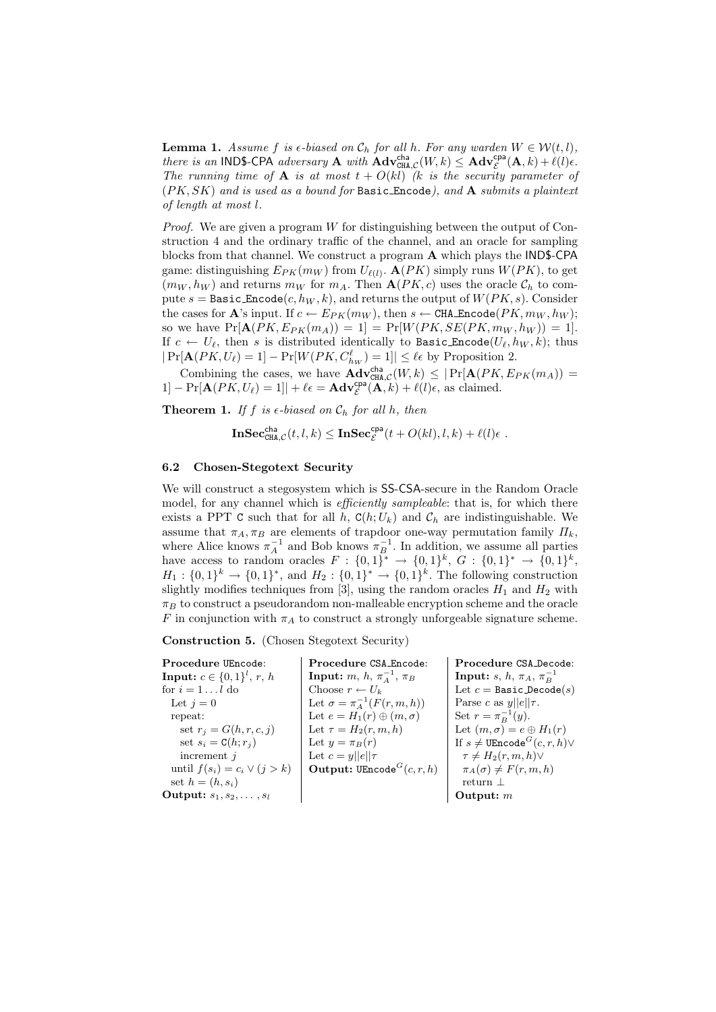**Lemma 1.** Assume f is  $\epsilon$ -biased on  $\mathcal{C}_h$  for all h. For any warden  $W \in \mathcal{W}(t, l)$ , there is an IND\$-CPA adversary **A** with  $\mathbf{Adv}_{\text{CHA},\mathcal{C}}^{\text{cha}}(W,k) \leq \mathbf{Adv}_{\mathcal{E}}^{\text{cpa}}(\mathbf{A},k) + \ell(l)\epsilon$ . The running time of **A** is at most  $t + O(k)$  (k is the security parameter of  $(PK, SK)$  and is used as a bound for Basic Encode), and A submits a plaintext of length at most l.

*Proof.* We are given a program  $W$  for distinguishing between the output of Construction 4 and the ordinary traffic of the channel, and an oracle for sampling blocks from that channel. We construct a program A which plays the IND\$-CPA game: distinguishing  $E_{PK}(m_W)$  from  $U_{\ell(l)}$ .  $\mathbf{A}(PK)$  simply runs  $W(PK)$ , to get  $(m_W, h_W)$  and returns  $m_W$  for  $m_A$ . Then  $\mathbf{A}(PK, c)$  uses the oracle  $\mathcal{C}_h$  to compute  $s =$  Basic Encode $(c, h_W, k)$ , and returns the output of  $W(PK, s)$ . Consider the cases for **A**'s input. If  $c \leftarrow E_{PK}(m_W)$ , then  $s \leftarrow \texttt{CHA\_Encode}(PK, m_W, h_W)$ ; so we have  $Pr[\mathbf{A}(PK, E_{PK}(m_A)) = 1] = Pr[W(PK, SE(PK, m_W, h_W)) = 1].$ If  $c \leftarrow U_{\ell}$ , then s is distributed identically to Basic Encode( $U_{\ell}, h_W, k$ ); thus  $|\Pr[\mathbf{A}(PK, U_\ell) = 1] - \Pr[W(PK, C_{h_W}^{\ell}) = 1]| \leq \ell \epsilon$  by Proposition 2.

Combining the cases, we have  $\mathbf{Adv}^{\text{cha}}_{\text{CHA},\mathcal{C}}(W,k) \leq |\Pr[\mathbf{A}(PK, E_{PK}(m_A))]$  $1] - \Pr[\mathbf{A}(PK, U_{\ell}) = 1] + \ell \epsilon = \mathbf{Adv}_{\mathcal{E}}^{\mathsf{cpa}}(\mathbf{A}, k) + \ell(l)\epsilon$ , as claimed.

**Theorem 1.** If f is  $\epsilon$ -biased on  $\mathcal{C}_h$  for all h, then

 $\mathbf{InSec}_{\mathtt{CHA},\mathcal{C}}^{\mathsf{cha}}(t,l,k)\leq \mathbf{InSec}_{\mathcal{E}}^{\mathsf{cpa}}(t+O(kl),l,k)+\ell(l)\epsilon\enspace.$ 

#### 6.2 Chosen-Stegotext Security

We will construct a stegosystem which is SS-CSA-secure in the Random Oracle model, for any channel which is *efficiently sampleable*: that is, for which there exists a PPT C such that for all h,  $C(h;U_k)$  and  $C_h$  are indistinguishable. We assume that  $\pi_A, \pi_B$  are elements of trapdoor one-way permutation family  $\Pi_k$ , where Alice knows  $\pi_A^{-1}$  and Bob knows  $\pi_B^{-1}$ . In addition, we assume all parties have access to random oracles  $F: \{0,1\}^* \to \{0,1\}^k$ ,  $G: \{0,1\}^* \to \{0,1\}^k$ ,  $H_1: \{0,1\}^k \to \{0,1\}^*$ , and  $H_2: \{0,1\}^k \to \{0,1\}^k$ . The following construction slightly modifies techniques from [3], using the random oracles  $H_1$  and  $H_2$  with  $\pi_B$  to construct a pseudorandom non-malleable encryption scheme and the oracle F in conjunction with  $\pi_A$  to construct a strongly unforgeable signature scheme.

Construction 5. (Chosen Stegotext Security)

Procedure UEncode: **Input:**  $c \in \{0, 1\}^l, r, h$ for  $i=1\ldots l$  do Let  $j = 0$ repeat: set  $r_j = G(h, r, c, j)$ set  $s_i = C(h; r_j)$ increment j until  $f(s_i) = c_i \vee (j > k)$ set  $h = (h, s_i)$ Output:  $s_1, s_2, \ldots, s_l$ Procedure CSA Encode: Input:  $m, h, \pi_A^{-1}, \pi_B$ Choose  $r \leftarrow U_k$ Let  $\sigma = \pi_A^{-1}(F(r, m, h))$ Let  $e = H_1(r) \oplus (m, \sigma)$ Let  $\tau = H_2(r, m, h)$ Let  $y = \pi_B(r)$ Let  $c = y||e||\tau$ Output:  $\text{UEncode}^G(c, r, h)$ Procedure CSA Decode: Input: s, h,  $\pi_A$ ,  $\pi_B^{-1}$ Let  $c =$  Basic Decode $(s)$ Parse c as  $y||e||\tau$ . Set  $r = \pi_B^{-1}(y)$ . Let  $(m, \sigma) = e \oplus H_1(r)$ If  $s \neq \texttt{UEncode}^G(c, r, h) \vee$  $\tau \neq H_2(r, m, h) \vee$  $\pi_A(\sigma) \neq F(r, m, h)$ return ⊥ Output: m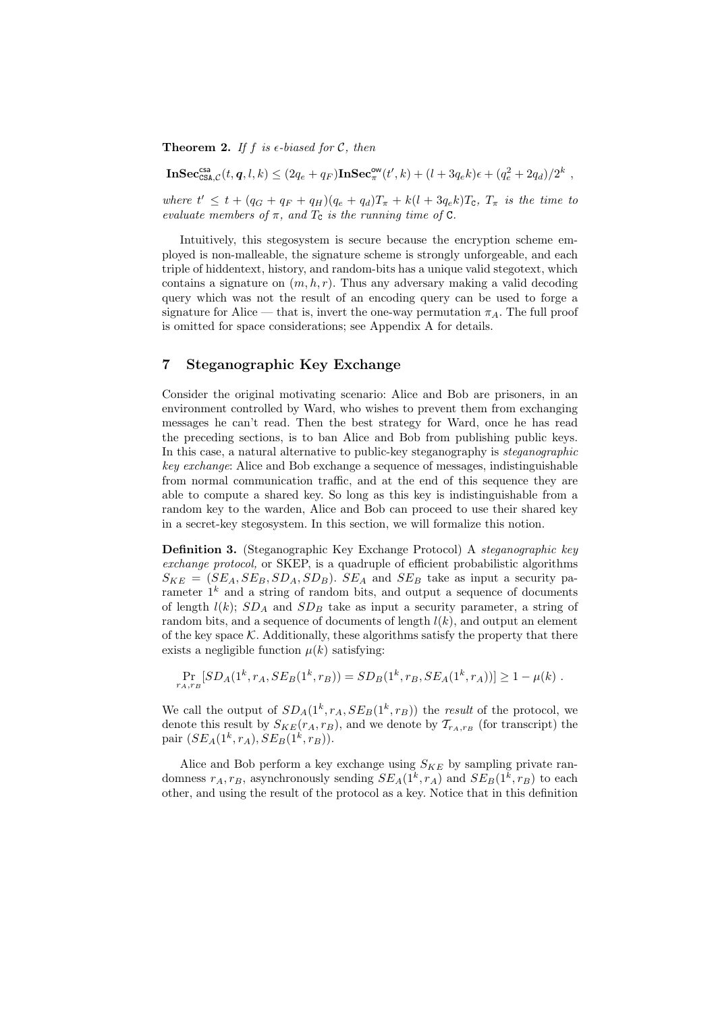**Theorem 2.** If f is  $\epsilon$ -biased for C, then

 $\mathbf{InSec_{CSA,C}^{csa}}(t, q, l, k) \leq (2q_e+q_F) \mathbf{InSec}_{\pi}^{\mathsf{ow}}(t', k) + (l + 3q_e k)\epsilon + (q_e^2 + 2q_d)/2^k,$ 

where  $t' \leq t + (q_G + q_F + q_H)(q_e + q_d)T_{\pi} + k(l + 3q_e k)T_{\sigma}$ ,  $T_{\pi}$  is the time to evaluate members of  $\pi$ , and  $T_c$  is the running time of  $C$ .

Intuitively, this stegosystem is secure because the encryption scheme employed is non-malleable, the signature scheme is strongly unforgeable, and each triple of hiddentext, history, and random-bits has a unique valid stegotext, which contains a signature on  $(m, h, r)$ . Thus any adversary making a valid decoding query which was not the result of an encoding query can be used to forge a signature for Alice — that is, invert the one-way permutation  $\pi_A$ . The full proof is omitted for space considerations; see Appendix A for details.

## 7 Steganographic Key Exchange

Consider the original motivating scenario: Alice and Bob are prisoners, in an environment controlled by Ward, who wishes to prevent them from exchanging messages he can't read. Then the best strategy for Ward, once he has read the preceding sections, is to ban Alice and Bob from publishing public keys. In this case, a natural alternative to public-key steganography is steganographic key exchange: Alice and Bob exchange a sequence of messages, indistinguishable from normal communication traffic, and at the end of this sequence they are able to compute a shared key. So long as this key is indistinguishable from a random key to the warden, Alice and Bob can proceed to use their shared key in a secret-key stegosystem. In this section, we will formalize this notion.

Definition 3. (Steganographic Key Exchange Protocol) A steganographic key exchange protocol, or SKEP, is a quadruple of efficient probabilistic algorithms  $S_{KE} = (SE_A, SE_B, SD_A, SD_B)$ .  $SE_A$  and  $SE_B$  take as input a security parameter  $1^k$  and a string of random bits, and output a sequence of documents of length  $l(k)$ ;  $SD_A$  and  $SD_B$  take as input a security parameter, a string of random bits, and a sequence of documents of length  $l(k)$ , and output an element of the key space  $K$ . Additionally, these algorithms satisfy the property that there exists a negligible function  $\mu(k)$  satisfying:

$$
\Pr_{r_A, r_B} [SD_A(1^k, r_A, SE_B(1^k, r_B)) = SD_B(1^k, r_B, SE_A(1^k, r_A))] \ge 1 - \mu(k) .
$$

We call the output of  $SD_A(1^k, r_A, SE_B(1^k, r_B))$  the result of the protocol, we denote this result by  $S_{KE}(r_A, r_B)$ , and we denote by  $T_{r_A, r_B}$  (for transcript) the pair  $(SE_A(1^k, r_A), SE_B(1^k, r_B)).$ 

Alice and Bob perform a key exchange using  $S_{KE}$  by sampling private randomness  $r_A, r_B$ , asynchronously sending  $SE_A(1^k, r_A)$  and  $SE_B(1^k, r_B)$  to each other, and using the result of the protocol as a key. Notice that in this definition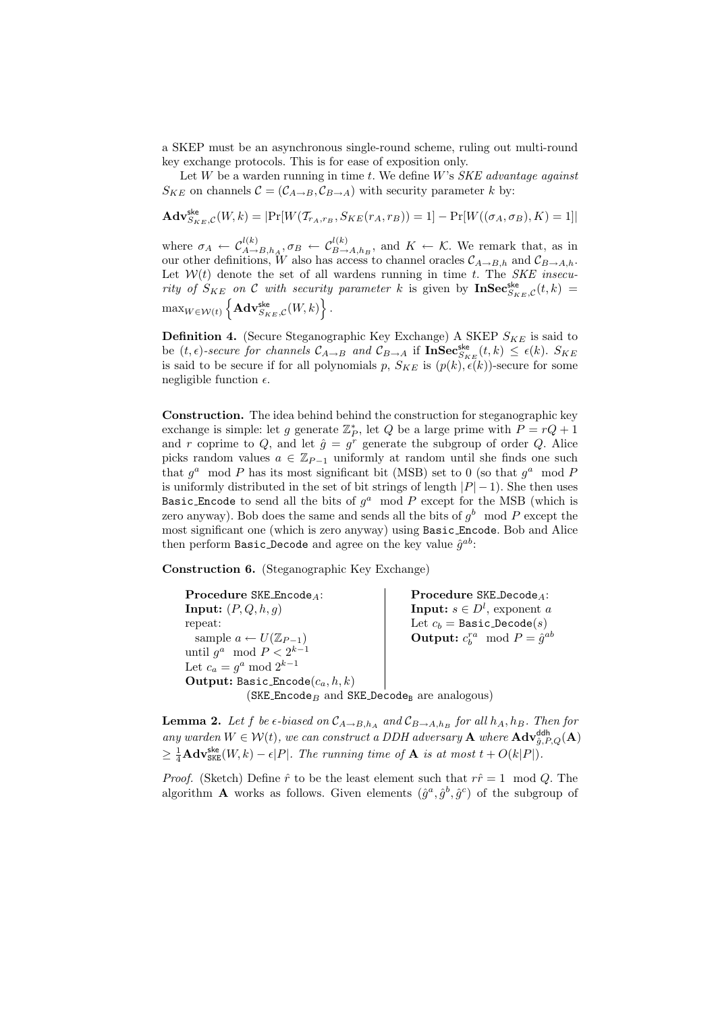a SKEP must be an asynchronous single-round scheme, ruling out multi-round key exchange protocols. This is for ease of exposition only.

Let  $W$  be a warden running in time  $t$ . We define  $W$ 's  $SKE$  advantage against  $S_{KE}$  on channels  $\mathcal{C} = (\mathcal{C}_{A\rightarrow B}, \mathcal{C}_{B\rightarrow A})$  with security parameter k by:

$$
\mathbf{Adv}_{S_{KE},C}^{\mathsf{ske}}(W,k) = |\Pr[W(\mathcal{T}_{r_A,r_B}, S_{KE}(r_A, r_B)) = 1] - \Pr[W((\sigma_A, \sigma_B), K) = 1]|
$$

where  $\sigma_A \leftarrow C_{A\rightarrow B,h_A}^{l(k)}, \sigma_B \leftarrow C_{B\rightarrow A,h_B}^{l(k)},$  and  $K \leftarrow \mathcal{K}$ . We remark that, as in our other definitions, W also has access to channel oracles  $\mathcal{C}_{A\to B,h}$  and  $\mathcal{C}_{B\to A,h}$ . Let  $W(t)$  denote the set of all wardens running in time t. The SKE insecurity of  $S_{KE}$  on C with security parameter k is given by  $\text{InSec}_{S_{KE},C}^{\text{ske}}(t,k)$  $\max_{W \in \mathcal{W}(t)} \left\{ \mathbf{Adv}_{S_{KE},\mathcal{C}}^{\mathsf{ske}}(W, k) \right\}.$ 

**Definition 4.** (Secure Steganographic Key Exchange) A SKEP  $S_{KF}$  is said to be  $(t, \epsilon)$ -secure for channels  $\mathcal{C}_{A\to B}$  and  $\mathcal{C}_{B\to A}$  if  $\text{InSec}_{S_{KE}}^{\text{ske}}(t, k) \leq \epsilon(k)$ .  $S_{KE}$ is said to be secure if for all polynomials p,  $S_{KE}$  is  $(p(k), \epsilon(k))$ -secure for some negligible function  $\epsilon$ .

Construction. The idea behind behind the construction for steganographic key exchange is simple: let g generate  $\mathbb{Z}_P^*$ , let Q be a large prime with  $P = rQ + 1$ and r coprime to Q, and let  $\hat{g} = g^r$  generate the subgroup of order Q. Alice picks random values  $a \in \mathbb{Z}_{P-1}$  uniformly at random until she finds one such that  $g^a$  mod P has its most significant bit (MSB) set to 0 (so that  $g^a$  mod F is uniformly distributed in the set of bit strings of length  $|P|-1$ ). She then uses Basic Encode to send all the bits of  $g^a \mod P$  except for the MSB (which is zero anyway). Bob does the same and sends all the bits of  $g^b \mod P$  except the most significant one (which is zero anyway) using Basic Encode. Bob and Alice then perform  $\texttt{Basic\_Decode}$  and agree on the key value  $\hat{g}^{ab}$ :

Construction 6. (Steganographic Key Exchange)

Procedure SKE Encode<sub>A</sub>: **Input:**  $(P, Q, h, g)$ repeat: sample  $a \leftarrow U(\mathbb{Z}_{P-1})$ until  $g^a \mod P < 2^{k-1}$ Let  $c_a = g^a \mod 2^{k-1}$ Output: Basic Encode $(c_a, h, k)$ Procedure SKE Decode<sub>4</sub>: **Input:**  $s \in D^l$ , exponent a Let  $c_b =$  Basic\_Decode $(s)$ **Output:**  $c_b^{ra} \mod P = \hat{g}^{ab}$ (SKE Encode<sub>B</sub> and SKE Decode<sub>B</sub> are analogous)

**Lemma 2.** Let f be  $\epsilon$ -biased on  $\mathcal{C}_{A\to B,h_A}$  and  $\mathcal{C}_{B\to A,h_B}$  for all  $h_A, h_B$ . Then for any warden  $W \in \mathcal{W}(t)$ , we can construct a DDH adversary **A** where  $\mathbf{Adv}_{\hat{g},P,Q}^{\mathsf{ddh}}(\mathbf{A})$  $\geq \frac{1}{4}$ **Adv**<sub>SKE</sub> $(W, k) - \epsilon |P|$ . The running time of **A** is at most  $t + O(k|P|)$ .

*Proof.* (Sketch) Define  $\hat{r}$  to be the least element such that  $r\hat{r} = 1 \mod Q$ . The algorithm **A** works as follows. Given elements  $(\hat{g}^a, \hat{g}^b, \hat{g}^c)$  of the subgroup of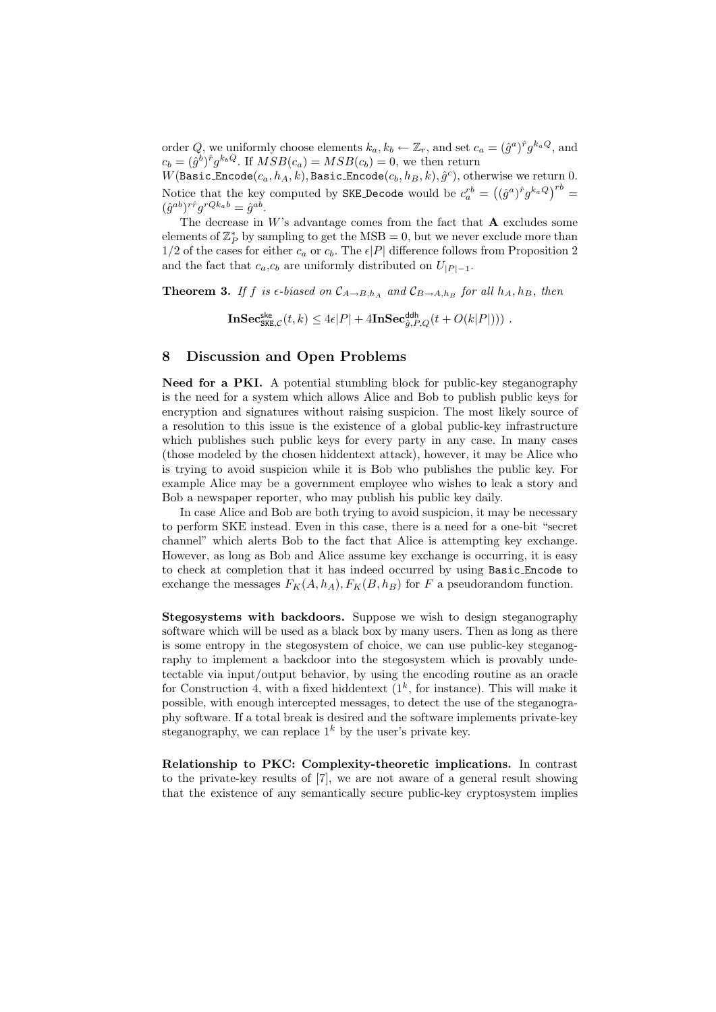order Q, we uniformly choose elements  $k_a, k_b \leftarrow \mathbb{Z}_r$ , and set  $c_a = (\hat{g}^a)^{\hat{r}} g^{k_a Q}$ , and  $c_b = (\hat{g}^b)^{\hat{r}} g^{k_b Q}$ . If  $MSB(c_a) = MSB(c_b) = 0$ , we then return

 $W(\mathtt{Basic\_Encode}(c_a,h_A,k),\mathtt{Basic\_Encode}(c_b,h_B,k), \hat{g}^c),$  otherwise we return  $0.$ Notice that the key computed by SKE Decode would be  $c_a^{rb} = ((\hat{g}^a)^{\hat{r}} g^{k_a Q})^{rb} =$  $(\hat{g}^{ab})^{r\hat{r}}g^{rQk_ab} = \hat{g}^{ab}.$ 

The decrease in  $W$ 's advantage comes from the fact that  $A$  excludes some elements of  $\mathbb{Z}_P^*$  by sampling to get the MSB = 0, but we never exclude more than  $1/2$  of the cases for either  $c_a$  or  $c_b$ . The  $\epsilon |P|$  difference follows from Proposition 2 and the fact that  $c_a$ , $c_b$  are uniformly distributed on  $U_{|P|-1}$ .

**Theorem 3.** If f is  $\epsilon$ -biased on  $\mathcal{C}_{A\to B,h_A}$  and  $\mathcal{C}_{B\to A,h_B}$  for all  $h_A, h_B$ , then

 $\mathbf{InSec}_{\mathtt{SKE},\mathcal{C}}^{\mathsf{ske}}(t,k)\leq 4\epsilon|P|+4\mathbf{InSec}_{\hat{g},P,Q}^{\mathsf{ddh}}(t+O(k|P|)))\;.$ 

### 8 Discussion and Open Problems

Need for a PKI. A potential stumbling block for public-key steganography is the need for a system which allows Alice and Bob to publish public keys for encryption and signatures without raising suspicion. The most likely source of a resolution to this issue is the existence of a global public-key infrastructure which publishes such public keys for every party in any case. In many cases (those modeled by the chosen hiddentext attack), however, it may be Alice who is trying to avoid suspicion while it is Bob who publishes the public key. For example Alice may be a government employee who wishes to leak a story and Bob a newspaper reporter, who may publish his public key daily.

In case Alice and Bob are both trying to avoid suspicion, it may be necessary to perform SKE instead. Even in this case, there is a need for a one-bit "secret channel" which alerts Bob to the fact that Alice is attempting key exchange. However, as long as Bob and Alice assume key exchange is occurring, it is easy to check at completion that it has indeed occurred by using Basic Encode to exchange the messages  $F_K(A, h_A), F_K(B, h_B)$  for F a pseudorandom function.

Stegosystems with backdoors. Suppose we wish to design steganography software which will be used as a black box by many users. Then as long as there is some entropy in the stegosystem of choice, we can use public-key steganography to implement a backdoor into the stegosystem which is provably undetectable via input/output behavior, by using the encoding routine as an oracle for Construction 4, with a fixed hiddentext  $(1^k, \text{ for instance})$ . This will make it possible, with enough intercepted messages, to detect the use of the steganography software. If a total break is desired and the software implements private-key steganography, we can replace  $1^k$  by the user's private key.

Relationship to PKC: Complexity-theoretic implications. In contrast to the private-key results of [7], we are not aware of a general result showing that the existence of any semantically secure public-key cryptosystem implies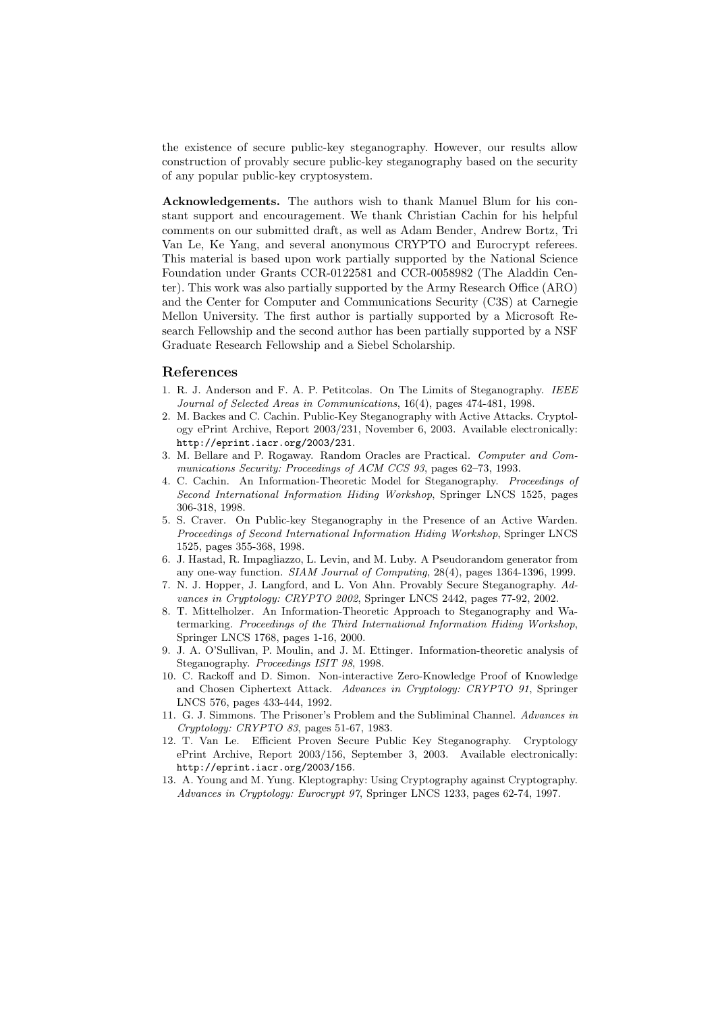the existence of secure public-key steganography. However, our results allow construction of provably secure public-key steganography based on the security of any popular public-key cryptosystem.

Acknowledgements. The authors wish to thank Manuel Blum for his constant support and encouragement. We thank Christian Cachin for his helpful comments on our submitted draft, as well as Adam Bender, Andrew Bortz, Tri Van Le, Ke Yang, and several anonymous CRYPTO and Eurocrypt referees. This material is based upon work partially supported by the National Science Foundation under Grants CCR-0122581 and CCR-0058982 (The Aladdin Center). This work was also partially supported by the Army Research Office (ARO) and the Center for Computer and Communications Security (C3S) at Carnegie Mellon University. The first author is partially supported by a Microsoft Research Fellowship and the second author has been partially supported by a NSF Graduate Research Fellowship and a Siebel Scholarship.

### References

- 1. R. J. Anderson and F. A. P. Petitcolas. On The Limits of Steganography. IEEE Journal of Selected Areas in Communications, 16(4), pages 474-481, 1998.
- 2. M. Backes and C. Cachin. Public-Key Steganography with Active Attacks. Cryptology ePrint Archive, Report 2003/231, November 6, 2003. Available electronically: http://eprint.iacr.org/2003/231.
- 3. M. Bellare and P. Rogaway. Random Oracles are Practical. Computer and Communications Security: Proceedings of ACM CCS 93, pages 62–73, 1993.
- 4. C. Cachin. An Information-Theoretic Model for Steganography. Proceedings of Second International Information Hiding Workshop, Springer LNCS 1525, pages 306-318, 1998.
- 5. S. Craver. On Public-key Steganography in the Presence of an Active Warden. Proceedings of Second International Information Hiding Workshop, Springer LNCS 1525, pages 355-368, 1998.
- 6. J. Hastad, R. Impagliazzo, L. Levin, and M. Luby. A Pseudorandom generator from any one-way function. SIAM Journal of Computing, 28(4), pages 1364-1396, 1999.
- 7. N. J. Hopper, J. Langford, and L. Von Ahn. Provably Secure Steganography. Advances in Cryptology: CRYPTO 2002, Springer LNCS 2442, pages 77-92, 2002.
- 8. T. Mittelholzer. An Information-Theoretic Approach to Steganography and Watermarking. Proceedings of the Third International Information Hiding Workshop, Springer LNCS 1768, pages 1-16, 2000.
- 9. J. A. O'Sullivan, P. Moulin, and J. M. Ettinger. Information-theoretic analysis of Steganography. Proceedings ISIT 98, 1998.
- 10. C. Rackoff and D. Simon. Non-interactive Zero-Knowledge Proof of Knowledge and Chosen Ciphertext Attack. Advances in Cryptology: CRYPTO 91, Springer LNCS 576, pages 433-444, 1992.
- 11. G. J. Simmons. The Prisoner's Problem and the Subliminal Channel. Advances in Cryptology: CRYPTO 83, pages 51-67, 1983.
- 12. T. Van Le. Efficient Proven Secure Public Key Steganography. Cryptology ePrint Archive, Report 2003/156, September 3, 2003. Available electronically: http://eprint.iacr.org/2003/156.
- 13. A. Young and M. Yung. Kleptography: Using Cryptography against Cryptography. Advances in Cryptology: Eurocrypt 97, Springer LNCS 1233, pages 62-74, 1997.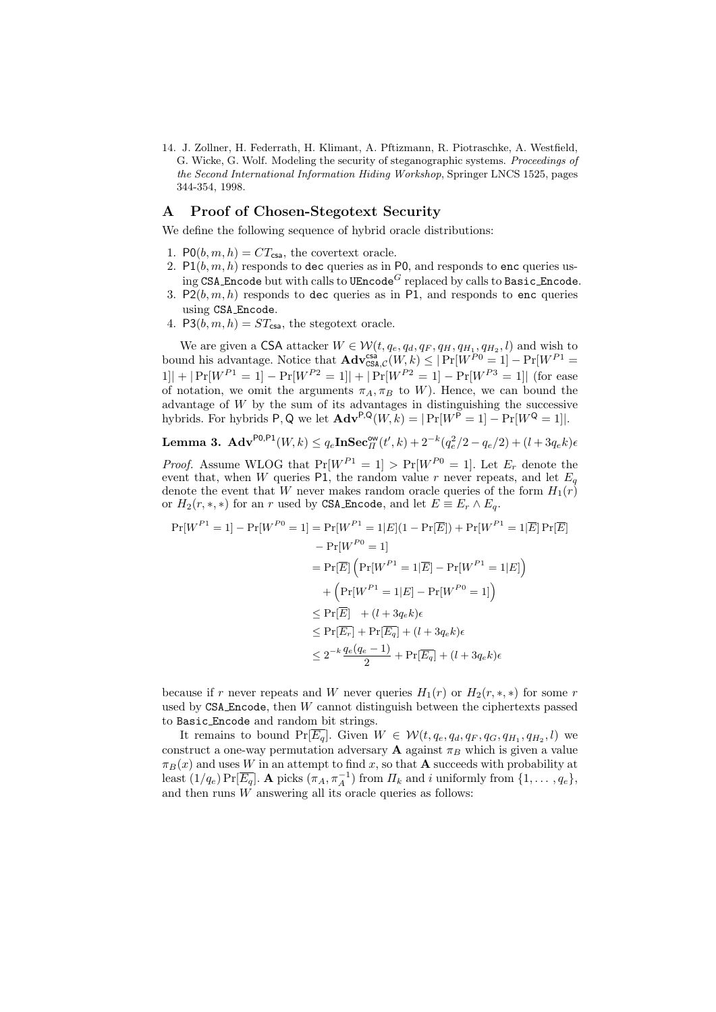14. J. Zollner, H. Federrath, H. Klimant, A. Pftizmann, R. Piotraschke, A. Westfield, G. Wicke, G. Wolf. Modeling the security of steganographic systems. Proceedings of the Second International Information Hiding Workshop, Springer LNCS 1525, pages 344-354, 1998.

### A Proof of Chosen-Stegotext Security

We define the following sequence of hybrid oracle distributions:

- 1.  $P0(b, m, h) = CT_{\text{csa}}$ , the covertext oracle.
- 2.  $P1(b, m, h)$  responds to dec queries as in P0, and responds to enc queries using CSA Encode but with calls to UEncode<sup>G</sup> replaced by calls to Basic Encode.
- 3. P2 $(b, m, h)$  responds to dec queries as in P1, and responds to enc queries using CSA Encode.
- 4. P3 $(b, m, h) = ST_{\text{csa}}$ , the stegotext oracle.

We are given a CSA attacker  $W \in \mathcal{W}(t, q_e, q_d, q_F, q_H, q_{H_1}, q_{H_2}, l)$  and wish to bound his advantage. Notice that  $\mathbf{Adv}^{\text{csa}}_{\text{CSA},\mathcal{C}}(W,k) \leq |\Pr[W^{P0} = 1] - \Pr[W^{P1} =$  $1|| + |Pr[W^{P_1} = 1] - Pr[W^{P_2} = 1|| + |Pr[W^{P_2} = 1] - Pr[W^{P_3} = 1||$  (for ease of notation, we omit the arguments  $\pi_A, \pi_B$  to W). Hence, we can bound the advantage of W by the sum of its advantages in distinguishing the successive hybrids. For hybrids P, Q we let  $\mathbf{Adv}^{P,Q}(W, k) = |\Pr[W^P = 1] - \Pr[W^Q = 1]|$ .

**Lemma 3.** 
$$
\mathbf{Adv}^{\mathsf{PO},\mathsf{P1}}(W,k) \leq q_e \mathbf{In} \mathbf{Sec}_{\Pi}^{\mathsf{ow}}(t',k) + 2^{-k}(q_e^2/2 - q_e/2) + (l + 3q_e k)e
$$

*Proof.* Assume WLOG that  $Pr[W^{P1} = 1] > Pr[W^{P0} = 1]$ . Let  $E_r$  denote the event that, when W queries P1, the random value r never repeats, and let  $E_q$ denote the event that W never makes random oracle queries of the form  $H_1(r)$ or  $H_2(r, *, *)$  for an r used by CSA Encode, and let  $E \equiv E_r \wedge E_q$ .

$$
\Pr[W^{P1} = 1] - \Pr[W^{P0} = 1] = \Pr[W^{P1} = 1|E](1 - \Pr[\overline{E}]) + \Pr[W^{P1} = 1|\overline{E}] \Pr[\overline{E}]
$$

$$
- \Pr[W^{P0} = 1]
$$

$$
= \Pr[\overline{E}] \left( \Pr[W^{P1} = 1|\overline{E}] - \Pr[W^{P1} = 1|E] \right)
$$

$$
+ \left( \Pr[W^{P1} = 1|E] - \Pr[W^{P0} = 1] \right)
$$

$$
\leq \Pr[\overline{E}] + (l + 3q_e k)\epsilon
$$

$$
\leq \Pr[\overline{E_r}] + \Pr[\overline{E_q}] + (l + 3q_e k)\epsilon
$$

$$
\leq 2^{-k} \frac{q_e(q_e - 1)}{2} + \Pr[\overline{E_q}] + (l + 3q_e k)\epsilon
$$

because if r never repeats and W never queries  $H_1(r)$  or  $H_2(r, \ast, \ast)$  for some r used by  $CSA$  Encode, then  $W$  cannot distinguish between the ciphertexts passed to Basic Encode and random bit strings.

It remains to bound  $Pr[\overline{E_q}]$ . Given  $W \in \mathcal{W}(t, q_e, q_d, q_F, q_G, q_{H_1}, q_{H_2}, l)$  we construct a one-way permutation adversary **A** against  $\pi_B$  which is given a value  $\pi_B(x)$  and uses W in an attempt to find x, so that **A** succeeds with probability at least  $(1/q_e) \Pr[\overline{E_q}]$ . **A** picks  $(\pi_A, \pi_A^{-1})$  from  $\Pi_k$  and i uniformly from  $\{1, \ldots, q_e\}$ , and then runs  $W$  answering all its oracle queries as follows: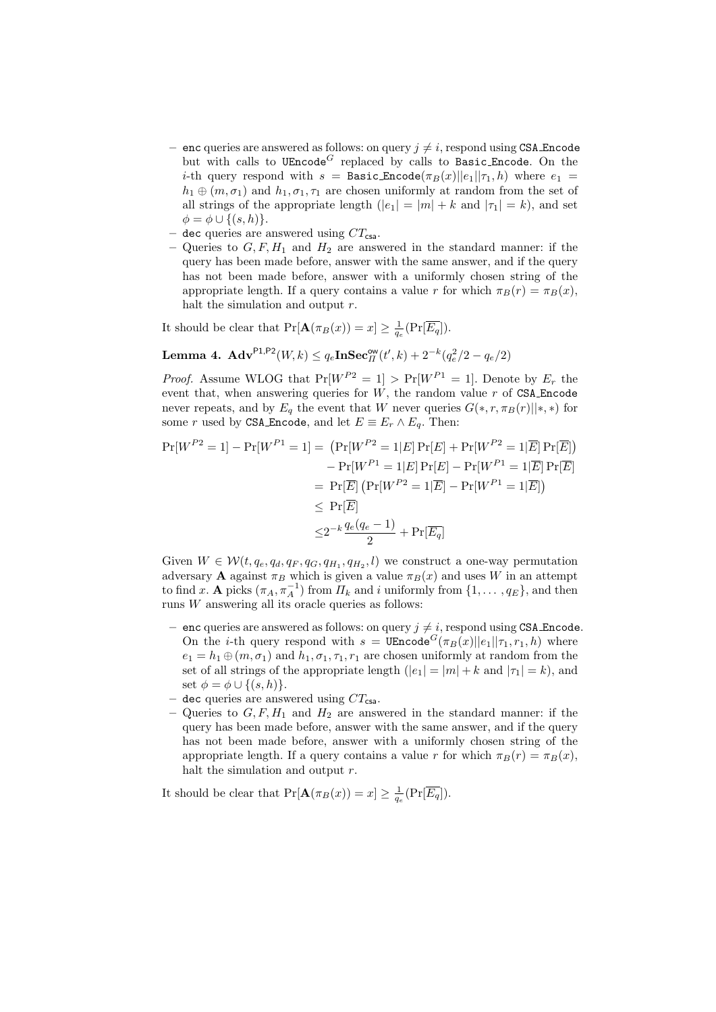- enc queries are answered as follows: on query  $j \neq i$ , respond using CSA Encode but with calls to  $UEncode^G$  replaced by calls to Basic Encode. On the *i*-th query respond with  $s =$  Basic Encode $(\pi_B(x)||e_1||\tau_1, h)$  where  $e_1 =$  $h_1 \oplus (m, \sigma_1)$  and  $h_1, \sigma_1, \tau_1$  are chosen uniformly at random from the set of all strings of the appropriate length  $(|e_1| = |m| + k$  and  $|\tau_1| = k$ , and set  $\phi = \phi \cup \{(s, h)\}.$
- dec queries are answered using  $CT_{\text{csa}}$ .
- Queries to  $G, F, H_1$  and  $H_2$  are answered in the standard manner: if the query has been made before, answer with the same answer, and if the query has not been made before, answer with a uniformly chosen string of the appropriate length. If a query contains a value r for which  $\pi_B(r) = \pi_B(x)$ , halt the simulation and output r.

It should be clear that  $Pr[\mathbf{A}(\pi_B(x)) = x] \ge \frac{1}{q_e}(Pr[\overline{E_q}]).$ 

Lemma 4.  $\mathbf{Adv}^{\mathsf{PL},\mathsf{P2}}(W,k) \leq q_e \mathbf{In} \mathbf{Sec}_{II}^{\mathsf{ow}}(t',k) + 2^{-k}(q_e^2/2 - q_e/2)$ 

*Proof.* Assume WLOG that  $Pr[W^{P2} = 1] > Pr[W^{P1} = 1]$ . Denote by  $E_r$  the event that, when answering queries for  $W$ , the random value  $r$  of CSA Encode never repeats, and by  $E_q$  the event that W never queries  $G(*, r, \pi_B(r)||*, *)$  for some r used by CSA Encode, and let  $E \equiv E_r \wedge E_q$ . Then:

$$
\Pr[W^{P2} = 1] - \Pr[W^{P1} = 1] = (\Pr[W^{P2} = 1|E] \Pr[E] + \Pr[W^{P2} = 1|\overline{E}] \Pr[\overline{E}])
$$

$$
- \Pr[W^{P1} = 1|E] \Pr[E] - \Pr[W^{P1} = 1|\overline{E}] \Pr[\overline{E}]
$$

$$
= \Pr[\overline{E}] (\Pr[W^{P2} = 1|\overline{E}] - \Pr[W^{P1} = 1|\overline{E}])
$$

$$
\leq \Pr[\overline{E}]
$$

$$
\leq 2^{-k} \frac{q_e(q_e - 1)}{2} + \Pr[\overline{E_q}]
$$

Given  $W \in \mathcal{W}(t, q_e, q_d, q_F, q_G, q_{H_1}, q_{H_2}, l)$  we construct a one-way permutation adversary **A** against  $\pi_B$  which is given a value  $\pi_B(x)$  and uses W in an attempt to find x. **A** picks  $(\pi_A, \pi_A^{-1})$  from  $H_k$  and i uniformly from  $\{1, \ldots, q_E\}$ , and then runs  $W$  answering all its oracle queries as follows:

- enc queries are answered as follows: on query  $j \neq i$ , respond using CSA Encode. On the *i*-th query respond with  $s = \text{UEncode}^G(\pi_B(x)||e_1||\tau_1, r_1, h)$  where  $e_1 = h_1 \oplus (m, \sigma_1)$  and  $h_1, \sigma_1, \tau_1, r_1$  are chosen uniformly at random from the set of all strings of the appropriate length  $(|e_1| = |m| + k$  and  $|\tau_1| = k$ ), and set  $\phi = \phi \cup \{(s, h)\}.$
- dec queries are answered using  $CT_{\text{csa}}$ .
- Queries to  $G, F, H_1$  and  $H_2$  are answered in the standard manner: if the query has been made before, answer with the same answer, and if the query has not been made before, answer with a uniformly chosen string of the appropriate length. If a query contains a value r for which  $\pi_B(r) = \pi_B(x)$ , halt the simulation and output  $r$ .

It should be clear that  $Pr[\mathbf{A}(\pi_B(x)) = x] \ge \frac{1}{q_e}(Pr[\overline{E_q}]).$